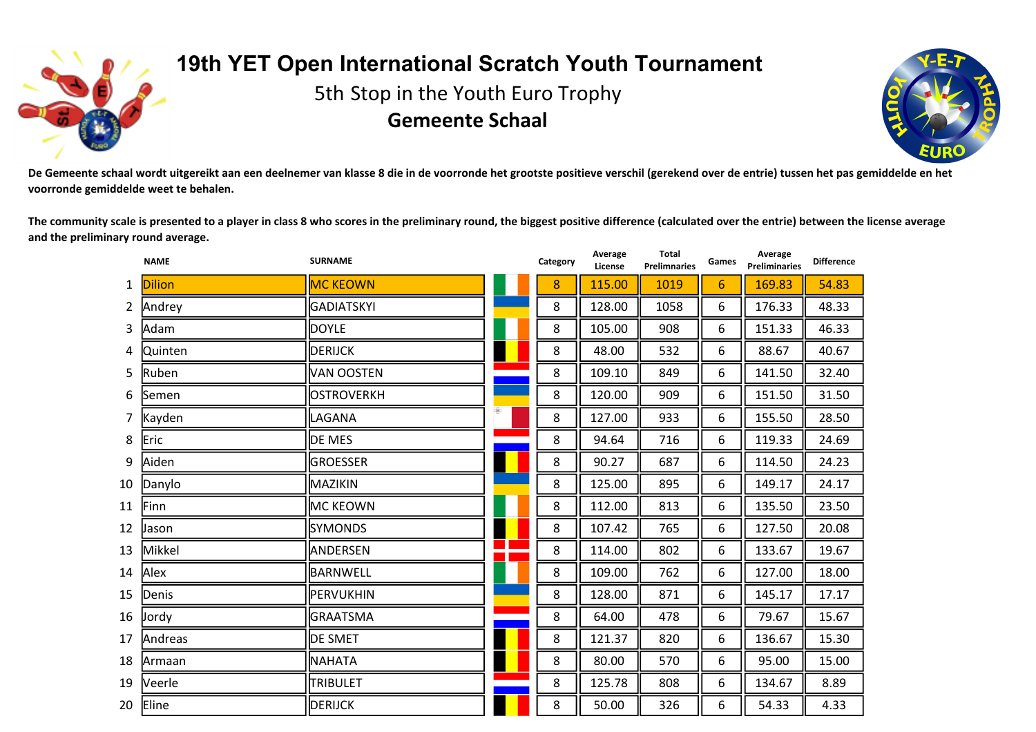

## **19th YET Open International Scratch Youth Tournament**

5th Stop in the Youth Euro Trophy **Gemeente Schaal**



De Gemeente schaal wordt uitgereikt aan een deelnemer van klasse 8 die in de voorronde het grootste positieve verschil (gerekend over de entrie) tussen het pas gemiddelde en het **voorronde gemiddelde weet te behalen.**

The community scale is presented to a player in class 8 who scores in the preliminary round, the biggest positive difference (calculated over the entrie) between the license average **and the preliminary round average.**

**Total**

**Average**

|    | <b>NAME</b>   | <b>SURNAME</b>    |   | Category | Average<br>License | Total<br><b>Prelimnaries</b> | Games | Average<br><b>Preliminaries</b> | <b>Difference</b> |
|----|---------------|-------------------|---|----------|--------------------|------------------------------|-------|---------------------------------|-------------------|
| 1  | <b>Dilion</b> | <b>MC KEOWN</b>   |   | 8        | 115.00             | 1019                         | 6     | 169.83                          | 54.83             |
| 2  | Andrey        | <b>GADIATSKYI</b> |   | 8        | 128.00             | 1058                         | 6     | 176.33                          | 48.33             |
| 3  | Adam          | <b>DOYLE</b>      |   | 8        | 105.00             | 908                          | 6     | 151.33                          | 46.33             |
| 4  | Quinten       | <b>DERIJCK</b>    |   | 8        | 48.00              | 532                          | 6     | 88.67                           | 40.67             |
| 5  | Ruben         | VAN OOSTEN        |   | 8        | 109.10             | 849                          | 6     | 141.50                          | 32.40             |
| 6  | Semen         | OSTROVERKH        |   | 8        | 120.00             | 909                          | 6     | 151.50                          | 31.50             |
| 7  | Kayden        | LAGANA            | Ф | 8        | 127.00             | 933                          | 6     | 155.50                          | 28.50             |
| 8  | Eric          | DE MES            |   | 8        | 94.64              | 716                          | 6     | 119.33                          | 24.69             |
| 9  | Aiden         | <b>GROESSER</b>   |   | 8        | 90.27              | 687                          | 6     | 114.50                          | 24.23             |
| 10 | Danylo        | MAZIKIN           |   | 8        | 125.00             | 895                          | 6     | 149.17                          | 24.17             |
| 11 | Finn          | MC KEOWN          |   | 8        | 112.00             | 813                          | 6     | 135.50                          | 23.50             |
| 12 | Jason         | <b>SYMONDS</b>    |   | 8        | 107.42             | 765                          | 6     | 127.50                          | 20.08             |
| 13 | Mikkel        | <b>ANDERSEN</b>   |   | 8        | 114.00             | 802                          | 6     | 133.67                          | 19.67             |
| 14 | Alex          | BARNWELL          |   | 8        | 109.00             | 762                          | 6     | 127.00                          | 18.00             |
| 15 | Denis         | PERVUKHIN         |   | 8        | 128.00             | 871                          | 6     | 145.17                          | 17.17             |
| 16 | <b>Jordy</b>  | <b>GRAATSMA</b>   |   | 8        | 64.00              | 478                          | 6     | 79.67                           | 15.67             |
| 17 | Andreas       | <b>DE SMET</b>    |   | 8        | 121.37             | 820                          | 6     | 136.67                          | 15.30             |
| 18 | Armaan        | <b>NAHATA</b>     |   | 8        | 80.00              | 570                          | 6     | 95.00                           | 15.00             |
| 19 | Veerle        | <b>TRIBULET</b>   |   | 8        | 125.78             | 808                          | 6     | 134.67                          | 8.89              |
| 20 | Eline         | <b>DERIJCK</b>    |   | 8        | 50.00              | 326                          | 6     | 54.33                           | 4.33              |